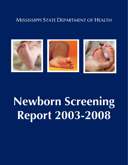# MISSISSIPPI STATE DEPARTMENT OF HEALTH



# **Newborn Screening Report 2003-2008**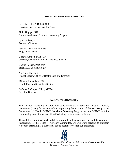#### **AUTHORS AND CONTRIBUTORS**

Beryl W. Polk, PhD, MS, CPM Director, Genetic Services Program

Philis Hoggatt, RN Nurse Coordinator, Newborn Screening Program

Lynn Walker, MD Pediatric Clinician

Patricia Terry, MSM, LSW Program Manager

Geneva Cannon, MHS, RN Director, Office of Child and Adolescent Health

Connie L. Bish, PhD, MPH State MCH Epidemiologist

Ninglong Han, MS Biostatistician, Office of Health Data and Research

Miranda Richardson, BS Health Program Specialist, Senior

LaQuita S. Cooper, MPH, MHSA Division Director

#### **ACKNOWLEDGMENTS**

The Newborn Screening Program wishes to thank the Mississippi Genetics Advisory Committee (GAC) for its vital role in supporting the activities of the Mississippi State Department of Health (MSDH) Newborn Screening Program and the MSDH staff for coordinating care of newborns identified with genetic disorders/diseases.

Through the committed work and dedication of health department staff and the continued involvement of the Genetics Advisory Committee, we will work together to maintain Newborn Screening as a successful public health service for our great state.



Mississippi State Department of Health, Office of Child and Adolescent Health Bureau of Genetic Services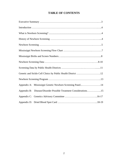# **TABLE OF CONTENTS**

| Genetic and Sickle Cell Clinics by Public Health District 12        |  |  |  |  |  |  |
|---------------------------------------------------------------------|--|--|--|--|--|--|
|                                                                     |  |  |  |  |  |  |
| Appendix A: Mississippi Genetic Newborn Screening Panel14           |  |  |  |  |  |  |
| Disease/Disorder Possible Treatment Considerations15<br>Appendix B: |  |  |  |  |  |  |
|                                                                     |  |  |  |  |  |  |
|                                                                     |  |  |  |  |  |  |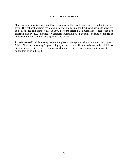#### **EXECUTIVE SUMMARY**

Newborn screening is a well-established national public health program credited with saving lives. This national program has a long history dating back to the 1960's and has made advances in both science and technology. In 1979 newborn screening in Mississippi began with two disorders and by 2003 included 40 disorders (Appendix A). Newborn screening continues to evolve with further additions anticipated in the future.

Experienced staff and detailed systems are in place to manage the daily activities of the program. MSDH Newborn Screening Program is highly organized and efficient and ensures that all infants born in Mississippi receive a complete newborn screen in a timely manner with repeat testing and follow-up as indicated.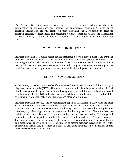#### **INTRODUCTION**

This Newborn Screening Report provides an overview of screening performance, diagnosis confirmation, quality assurance, and includes four appendices. Appendix A is the list of disorders included in the Mississippi Newborn Screening Panel. Appendix B describes disorders/diseases, consequences, and treatment options. Appendix C lists the Mississippi Genetics Advisory Committee members. Appendix D is an example of the dried blood spot card.

#### **WHAT IS NEWBORN SCREENING?**

Newborn screening is a public health service performed before a baby is discharged from the delivering facility to identify serious or life threatening conditions prior to symptoms. This screening provides early detection of numerous diseases and disorders so that timely treatment can be initiated and long term sequelae minimized. Long term sequelae, depending on the condition, may include organ damage, stroke, or death if left undiagnosed and untreated.

#### **HISTORY OF NEWBORN SCREENING**

In the 1960's, Dr. Robert Guthrie of Buffalo, New York developed a bacterial inhibition assay to diagnose phenylketonuria (PKU). The level of the amino acid phenylalanine in a drop of dried blood collected on filter paper was measured using a bacterial inhibition assay. Newborns could then be identified with PKU, and a diet low in phenylalanine could be started early to hopefully avoid mental retardation, behavioral problems, and other abnormalities.

Newborn screening for PKU and hypothyroidism began in Mississippi in 1979 when the State Board of Health was authorized by the Mississippi Legislature to establish a testing program for these diseases. Thus, newborn screening on a voluntary basis began. In 1984 this testing became mandatory by Mississippi law for all newborns. Further legislation in 1988 authorized the addition of two more disorders, hemoglobinopathies and galactosemia, and in 2001 congenital adrenal hyperplasia was added. In 2002, the Ben Haygood Comprehensive Newborn Screening Program was enacted, taking advantage of tandem mass spectrometry, molecular technologies, and biochemical analysis to increase the number of disease/disorders screened to 40. After education of health care providers and staff in delivering facilities, implementation of this expanded screen began in June 2003.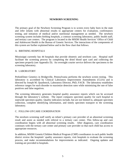#### **NEWBORN SCREENING**

The primary goal of the Newborn Screening Program is to screen every baby born in the state and refer infants with abnormal results to appropriate centers for evaluation, confirmatory testing, and initiation of medical and/or nutritional management as needed. The newborn screening system includes birthing hospitals, a contract screening laboratory, public health staff, and tertiary care centers. The program is located in the MSDH Health Services' Office of Child and Adolescent Health in the Bureau of Genetic Services. The interactions of the components of this system are further explained below and in the flow chart that follows.

#### A. BIRTHING HOSPITALS

Mississippi currently has 44 hospitals that provide obstetric and newborn care. Hospital staff facilitate the screening process by completing the dried blood spot card and collecting the specimen properly (see Appendix D). An overnight courier service delivers the specimens to the screening laboratory.

#### B. LABORATORY

PerkinElmer Genetics in Bridgeville, Pennsylvania performs the newborn screen testing. This laboratory is accredited by Clinical Laboratory Improvement Amendments (CLIA) and is directed by Joseph M. Quashnock, Laboratory Director, PhD, FACB. The laboratory establishes reference ranges for each disorder to maximize detection rates while minimizing the rate of false positives and false negatives.

The screening laboratory generates hospital quality assurance reports which can be accessed through the laboratory's website. The report compares specimen quality for each hospital to statewide specimen quality. Quality indicators include, but are not limited to, adequate specimen collection, complete identifying information, and timely specimen transport to the screening laboratory.

#### C. FOLLOW-UP/CARE COORDINATION

The newborn screening staff notify an infant's primary care provider of an abnormal screening result and assist as needed with referral to a tertiary care center. This follow-up and care coordination begins with all abnormal screening results. After diagnosis, care coordination continues with the tertiary care center and primary care provider so that each child has access to appropriate resources.

In addition, MSDH Genetic/Children Medical Program (CMP) coordinators in each public health district review the hospitals' quality assurance reports, visit hospitals to evaluate the screening process, and make recommendations for improvements as indicated. Ongoing updates and training are provided to hospitals.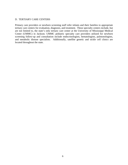#### D. TERTIARY CARE CENTERS

Primary care providers or newborn screening staff refer infants and their families to appropriate tertiary care centers for evaluation, diagnosis, and treatment. These specialty centers include, but are not limited to, the state's only tertiary care center at the University of Mississippi Medical Center (UMMC) in Jackson. UMMC pediatric specialty care providers utilized for newborn screening follow-up and consultation include endocrinologists, hematologists, pulmonologists, and metabolic disease specialists. Additionally, satellite genetic and sickle cell clinics are located throughout the state.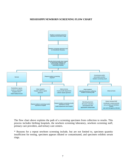#### **MISSISSIPPI NEWBORN SCREENING FLOW CHART**



The flow chart above explains the path of a screening specimen from collection to results. This process includes birthing hospitals, the newborn screening laboratory, newborn screening staff, primary care providers, and tertiary care centers.

\* Reasons for a repeat newborn screening include, but are not limited to, specimen quantity insufficient for testing, specimen appears diluted or contaminated, and specimen exhibits serum rings.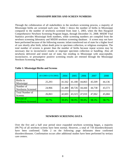#### **MISSISSIPPI BIRTHS AND SCREEN NUMBERS**

Through the collaboration of all stakeholders in the newborn screening process, a majority of Mississippi births are screened each year. Table 1 shows the number of births in Mississippi compared to the number of newborns screened from June 1, 2003, when the Ben Haygood Comprehensive Newborn Screening Program began, through December 31, 2008. MSDH Vital Statistics provides Mississippi birth numbers, while screening numbers are compiled from the newborn screening laboratory and MSDH newborn screening database. A screen may not have been performed because of the following reasons: infant transferred out of state for a higher level of care shortly after birth, infant death prior to specimen collection, or religious exemption. The total number of screens is greater than the number of births because repeat screens may be necessary due to inconclusive results or improper specimen collection or handling. Also all newborns delivered and tested out of state, but residing in Mississippi with unacceptable, inconclusive, or presumptive positive screening results are retested through the Mississippi Newborn Screening Program.

|                                        | $(6/1/2003 - 12/31/2003)$ | 2004   | 2005   | 2006   | 2007   | 2008   |
|----------------------------------------|---------------------------|--------|--------|--------|--------|--------|
| Births in<br>Mississippi               | 25,293                    | 41,562 | 41,180 | 44,863 | 45,509 | 44,136 |
| Number of<br><b>Newborns Screened</b>  | 24,966                    | 41,480 | 40,726 | 44,444 | 44,738 | 43,573 |
| <b>Total Number of</b><br>Screens      | 26,063                    | 42,603 | 43,323 | 47,010 | 47,062 | 45,684 |
| Percent of<br><b>Newborns Screened</b> | 98.7%                     | 99.8%  | 98.9%  | 99.0%  | 98.3%  | 98.7%  |

#### **Table 1: Mississippi Births and Screens**

#### **NEWBORN SCREENING DATA**

Over the five and a half year period since expanded newborn screening began, a majority (99.7%) of all newborn screens have been normal. However, a total of 718 disorders/diseases have been confirmed. Table 2 on the following page delineates these confirmed disorders/diseases. Confirmation occurs after additional studies have been performed by tertiary care centers.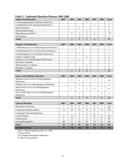| <u>Commandus Dagon Gergi Dagengen 2000 tour 200</u> |                   |      |      |      |      |      |              |
|-----------------------------------------------------|-------------------|------|------|------|------|------|--------------|
| <b>Amino Acid Disorders</b>                         | 2003 <sup>1</sup> | 2004 | 2005 | 2006 | 2007 | 2008 | <b>Total</b> |
| Carbamoylphosphate Synthetase Deficiency            |                   |      |      |      |      |      |              |
| Citrullinemia (ASA Synthetase Deficiency)           |                   |      |      |      |      |      |              |
| Homocystinuria                                      |                   |      |      |      |      |      |              |
| Hypermethioninemia                                  |                   |      |      |      |      |      |              |
| Phenylketonuria (PKU)                               |                   |      |      |      |      |      | $\Omega^2$   |
| Tyrosinemia                                         |                   |      |      |      |      |      |              |
| <b>Total</b>                                        |                   |      |      |      |      |      |              |

**Table 2: Confirmed Disorders/Diseases 2003-2008** 

| <b>Organic Acid Disorders</b>                | 2003 <sup>1</sup> | 2004 | 2005 | 2006 | 2007 | 2008 | <b>Total</b> |
|----------------------------------------------|-------------------|------|------|------|------|------|--------------|
| 2-Methylbutyryl-CoA Dehydrogenase Deficiency |                   |      |      |      |      |      |              |
| 3-Methylcrotonyl-CoA Carboxylase Deficiency  |                   |      |      |      |      |      |              |
| 3-Methylglutyryl-CoA Hydratase Deficiency    |                   |      |      |      |      |      |              |
| Glutaric Aciduria Type                       |                   |      |      | ◠    |      |      |              |
| Isobutyryl-CoA Dehydrogenase Deficiency      |                   |      |      |      |      |      |              |
| Isovaleric Acidemia                          |                   |      |      |      |      |      |              |
| Methylmalonic Acidemia                       |                   |      |      |      |      |      |              |
| Propionic Acidemia                           |                   |      |      |      |      |      |              |
| <b>Total</b>                                 |                   |      |      |      |      |      |              |

| <b>Fatty Acid Oxidation Disorders</b>                | 2003 <sup>1</sup> | 2004 | 2005 | 2006 | 2007 | 2008 | <b>Total</b> |
|------------------------------------------------------|-------------------|------|------|------|------|------|--------------|
| Medium-Chain Acyl-CoA Dehydrogenase                  |                   | 2    | ◠    |      | 3    | 2    | 16           |
| Deficiency                                           |                   |      |      |      |      |      |              |
| Multipe Acyl-CoA Dehydrogenase Deficiency            |                   |      |      |      |      |      |              |
| Short-Chain Acyl-CoA Dehydrogenase<br>Deficiency     |                   |      |      |      | 4    |      |              |
| Very Long-Chain Acyl-CoA Dehydrogenase<br>Deficiency |                   |      |      |      |      |      |              |
| <b>Total</b>                                         |                   |      |      |      |      | 8    | 32           |

| <b>General Disorders</b>       | 2003 <sup>1</sup> | 2004 | 2005           | 2006 | 2007 | 2008 | <b>Total</b> |
|--------------------------------|-------------------|------|----------------|------|------|------|--------------|
| <b>Biotinidase Deficiency</b>  |                   | 8    | 4              | 2    | 6    |      | $28^{3}$     |
| Congenital Hypothyroidism      | 13                | 28   | 18             | 16   | 15   | 16   | 106          |
| Congenital Adrenal Hyperplasia |                   |      | $\overline{2}$ | 3    | 2    |      | 7            |
| <b>Cystic Fibrosis</b>         |                   | 12   | 5              | 5    | 12   | 11   | 46           |
| Galactosemia                   | ⇁                 | 13   | 5              | 5    | 8    | 11   | $49^{4}$     |
| Hemoglobinopathies             | 48                | 71   | 62             | 87   | 79   | 78   | 425          |
| <b>Total</b>                   | 70                | 132  | 96             | 118  | 122  | 123  | 661          |
| <b>GRAND TOTAL</b>             | 70                | 139  | 108            | 136  | 134  | 131  | 718          |

<sup>1</sup> June 1, 2003 through December 31, 2003<br> $2^2$ 5 Classic PKU

<sup>3</sup> 14 Complete Biotinidase Deficiency

4 8 Classic Galactosemia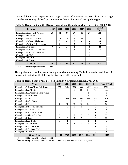Hemoglobinopathies represent the largest group of disorders/diseases identified through newborn screening. Table 3 provides further details of abnormal hemoglobin types.

| <b>Disorders</b>                 | 2003 <sup>1</sup> | 2004           | 2005           | 2006           | 2007 | 2008 | Grand<br><b>Total</b> |
|----------------------------------|-------------------|----------------|----------------|----------------|------|------|-----------------------|
| Hemoglobin Sickle Cell Anemia    | 26                | 42             | 37             | 36             | 31   | 27   | 199                   |
| Hemoglobin FS+Barts              |                   |                |                |                | 2    |      | 3                     |
| Hemoglobin Sickle C Disease      | 12                | 16             | 13             | 34             | 34   | 21   | 130                   |
| Hemoglobin S/Beta + Thalassemia  | 1                 | 5              | $\overline{4}$ | 6              | 4    | 14   | 34                    |
| Hemoglobin S/ Beta O Thalassemia |                   | $\overline{2}$ |                | 5              |      | 3    | 12                    |
| Hemoglobin C Disease             | 9                 | $\overline{2}$ | 3              | 2              | 4    | 4    | 24                    |
| Hemoglobin C/Beta + Thalassemia  |                   | 3              | 4              | $\mathfrak{D}$ | 3    | 7    | 19                    |
| Hemoglobin C/Beta O Thalassemia  |                   |                |                |                |      |      |                       |
| Hemoglobin B/Thal                |                   |                |                |                |      |      |                       |
| Hemoglobin D-LA+C                |                   |                |                |                |      |      |                       |
| Hemoglobin E Disease             |                   |                |                |                |      |      |                       |
| <b>Grand Total</b>               | 48                | 71             | 62             | 87             | 79   | 78   | 425                   |

**Table 3: Hemoglobinopathy Disorders identified through Newborn Screening, 2003-2008** 

<sup>1</sup> June 1, 2003 through December 31, 2003

Hemoglobin trait is an important finding in newborn screening. Table 4 shows the breakdown of hemoglobin traits identified during the five and a half year period.

| <b>Trait</b>                           | $2003^1$ | 2004           | 2005 | 2006 | 2007           | 2008           | <b>Grand Total</b> |
|----------------------------------------|----------|----------------|------|------|----------------|----------------|--------------------|
| Hemoglobin S Trait (Sickle Cell Trait) | 858      | 1424           | 1538 | 1688 | 1637           | 1584           | 8729               |
| Hemoglobin FAS+Barts                   |          |                |      | 39   | 54             | 72             | 166                |
| Hemoglobin FAS+possible alpha variant  |          |                |      |      | 1              |                |                    |
| Hemoglobin $AS + Variant$              |          |                |      |      | 1              | $\overline{2}$ | 3                  |
| Hemoglobin C Trait                     | 315      | 503            | 464  | 548  | 497            | 483            | 2810               |
| Hemoglobin FAC + Barts                 |          |                |      | 13   | 11             | 20             | 44                 |
| Hemoglobin D Trait                     | 6        | 18             | 15   | 15   | 24             | 18             | 96                 |
| Hemoglobin D Los Angeles Trait         |          | 1              | 1    | 1    |                | $\overline{2}$ | 5                  |
| Hemoglobin AD or AG Trait              |          |                |      |      | 1              |                | $\overline{2}$     |
| Hemoglobin AFD or AFG Trait            |          |                |      |      |                |                |                    |
| Hemoglobin G Philadelpia Trait         | 5        | 11             | 6    | 7    | 5              |                | 35                 |
| Hemoglobin E Trait                     | 3        | $\overline{2}$ | 5    | 5    | 11             | 6              | 32                 |
| Hemoglobin FAE+Barts                   |          | $\overline{2}$ |      |      | 1              |                | 5                  |
| Hemoglobin O Arab Trait                |          | 3              | 3    | 1    | 3              |                | 11                 |
| Hemoglobin Beta Thal Trait             |          |                |      |      |                |                |                    |
| Hemoglobin J-Baltimore Trait           |          | 1              |      |      |                |                |                    |
| Hemoglobin Variant <sup>2</sup>        |          |                |      |      | $\overline{2}$ | 8              | 10                 |
| <b>Grand Total</b>                     | 1188     | 1965           | 2033 | 2317 | 2248           | 2201           | 11952              |

**Table 4: Hemoglobin Traits detected through Newborn Screening, 2003-2008** 

<sup>1</sup> June 1, 2003 through December 31, 2003<br><sup>2</sup> Further testing for hemoglobin identification as clinically indicated by health care provider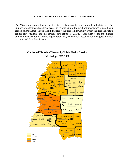#### **SCREENING DATA BY PUBLIC HEALTH DISTRICT**

The Mississippi map below shows the state broken into the nine public health districts. The number of confirmed disorders/diseases in relationship to the newborn's residence is noted by a graded color scheme. Public Health District V includes Hinds County, which includes the state's capital city, Jackson, and the tertiary care center at UMMC. This district has the highest population concentration for this largely rural state, which likely accounts for the highest number of confirmed disorders/diseases.



## **Confirmed Disorders/Diseases by Public Health District Mississippi, 2003-2008**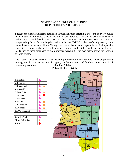#### **GENETIC AND SICKLE CELL CLINICS BY PUBLIC HEALTH DISTRICT**

Because the disorders/diseases identified through newborn screening are found in every public health district in the state, Genetic and Sickle Cell Satellite Clinics have been established to address the special health care needs of these patients and improve access to care. A compounding factor for our largely rural state is that UMMC is the state's only tertiary care center located in Jackson, Hinds County. Access to health care, especially medical specialty care, directly impacts the health outcomes of newborns and children with special health care needs such as those diagnosed through newborn screening. The map below shows the location of these clinics.

The District Genetic/CMP staff assist specialty providers with these satellite clinics by providing nursing, social work and nutritional support, and help patients and families connect with local community resources. **Satellite Clinics** 

| 1. Senatobia              |  |
|---------------------------|--|
| 2. Batesville             |  |
| 3. Greenwood              |  |
| 4. Greenville             |  |
| 5. West Point             |  |
| 6. Jackson                |  |
| 7. Meridian               |  |
| 8. McComb                 |  |
| 9. Hattiesburg            |  |
| 10. Gulfport              |  |
| 11. Ocean Springs         |  |
|                           |  |
| <b>Genetic Clinic</b>     |  |
| <b>Sickle Cell Clinic</b> |  |
| UMMC                      |  |

**By Public Health Districts** 

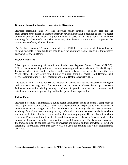#### **NEWBORN SCREENING PROGRAM**

#### **Economic Impact of Newborn Screening in Mississippi**

Newborn screening saves lives and improves health outcomes. Specialty care for the management of the disorders identified through newborn screening is required to improve health outcomes and possibly reduce long-term healthcare costs. Early identification of newborn screening disorders results in earlier treatment, often before symptoms occur to prevent the consequences of delayed identification.

The Newborn Screening Program is supported by a \$100.00 fee per screen, which is paid by the birthing hospitals. These funds are used to pay for laboratory testing, program administrative costs, and follow-up efforts.

#### **Regional Activities**

Mississippi is an active participant in the Southeastern Regional Genetics Group (SERGG). SERGG is a network of genetics and newborn screening providers in Alabama, Florida, Georgia, Louisiana, Mississippi, North Carolina, South Carolina, Tennessee, Puerto Rico, and the U.S. Virgin Islands. The network is funded in part by a grant from the Federal Health Resources and Service Administration (HRSA) Maternal and Child Health Bureau (MCHB).

The goals of SERGG are to address the inequities in genetic services and resources in the region and to expand existing regional capabilities and resources to address these gaps. SERGG facilitates information sharing among providers of genetic services and consumers and establishes collaborative partnerships with other professional organizations.

#### **Future Plans**

Newborn Screening is an impressive public health achievement and is an essential component of Mississippi child health services. The future depends on our responses to new advances in genetic science and changes in health care delivery and financing. The Mississippi Genetics Advisory Committee meets annually to stay informed of current national trends in newborn screening to facilitate timely recommendations for our state program. The Mississippi Newborn Screening Program will implement a hemoglobinopathy surveillance registry to track health outcomes of patients identified with certain hemoglobinopathies. The Newborn Screening Program also plans to conduct a survey of providers and parents on their knowledge of newborn screening. Information from this survey will be used for training and other programmatic activities.

 **For questions regarding this report contact the MSDH Newborn Screening Program at 601-576-7619.**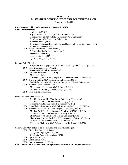#### **APPENDIX A MISSISSIPPI GENETIC NEWBORN SCREENING PANEL**

Effective June 1, 2003

#### **Disorders detected by tandem mass spectrometry (MS/MS)**

**Amino Acid Disorders** 

Argininemia (ARG) Argininosuccinic Aciduria (ASA Lyase Deficiency) Carbamoylphosphate Synthetase Deficiency (CPS Deficiency) Citrullinemia (ASA Synthetase Deficiency) Homocystinuria (HCys) Hyperammoninemia, Hyperornithinemia, Homocitrullinemia Syndrome (HHH) Hypermethioninemia (MGT) **DNA** - Maple Syrup Urine Disease (MSUD) 5-Oxoprolinuria (Pyroglutamic aciduria) Phenylketonuria (PKU) Tyrosinemia Type I (TYR I) Tyrosinemia Type II (TYR II)

#### **Organic Acid Disorders**

| 3-Hydroxy-3-Methylglutaryl-CoA Lyase Deficiency (HMG Co-A Lyase Def) |
|----------------------------------------------------------------------|
| <b>DNA</b> - Glutaric Aciduria Type I (GA I)                         |
| Isobutyryl-CoA Dehydrogenase Deficiency                              |
| <b>DNA</b> - Isovaleric Acidemia<br>(IVA)                            |
| Malonic Aciduria                                                     |
| 2-Methylbutyryl-CoA Dehydrogenase Deficiency (2MBCD Deficiency)      |
| <b>DNA</b> - 3-Methylcrotonyl-CoA Carboxylase Deficiency (3MCC)      |
| 3-Methylglutaconyl-CoA Hydratase Deficiency (3MGA Deficiency)        |
| <b>DNA</b> - Methylmalonic Acidemia (MMA)                            |
| Mitochondrial Acetoacetyl-CoA Thiolase Deficiency                    |
| Multiple CoA Carboxylase Deficiency (MCCD)                           |
| <b>DNA</b> - Propionic Acidemia (PPA)                                |
|                                                                      |

#### **Fatty Acid Oxidation Disorders**

Carnitine/Acylcarnitine Translocase Deficiency (Translocase) Carnitine Palmitoyltransferase I Deficiency (CPT I) Carnitine Palmitoyltransferase II Deficiency (CPT II)

**DNA** - Long-Chain 3-hydroxyacyl-CoA Dehydrogenase Deficiency (LCHAD)

**DNA** - Medium-Chain Acyl-CoA Dehydrogenase Deficiency (MCAD) Multiple Acyl-CoA Dehydrogenase Deficiency (MADD or GA II) Carnitine Palmitoyltransferase II Deficiency (CPT II) Short-Chain Acyl-CoA Dehydrogenase Deficiency (SCAD) Short-Chain Hydroxy Acyl-CoA Dehydrogenase Deficiency (SCHAD) Trifunctional Protein Deficiency (TFP Deficiency) Very Long-Chain Acyl-CoA Dehydrogenase Deficiency (VLCAD)

#### **General Disorders detected by biochemical and other technologies**

- **DNA** Biotinidase Deficiency (BIO)
	- Congenital Hypothyroidism (TSH)

Congenital Adrenal Hyperplasia (CAH)

- **DNA** Cystic Fibrosis (CF)
- **DNA** Galactosemia (GAL)
- **DNA** Hemoglobinopathies (HGB)

#### **DNA: Denotes DNA confirmatory testing for some disorders with common mutations.**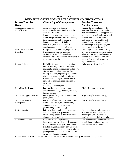| Disease/Disorder                      | <b>Clinical Signs/ Consequences</b>                                                                                                                                                                                                                                                                                                                                                                      | <b>Possible Treatment</b>                                                                                                                                                                                                                                                                                                                |
|---------------------------------------|----------------------------------------------------------------------------------------------------------------------------------------------------------------------------------------------------------------------------------------------------------------------------------------------------------------------------------------------------------------------------------------------------------|------------------------------------------------------------------------------------------------------------------------------------------------------------------------------------------------------------------------------------------------------------------------------------------------------------------------------------------|
| Group                                 |                                                                                                                                                                                                                                                                                                                                                                                                          | <b>Considerations</b>                                                                                                                                                                                                                                                                                                                    |
| Amino Acids/Organic<br>Acids/Nitrogen | Acute progressive metabolic<br>encephalopathy: poor feeding, emesis,<br>seizures, irritability,<br>hypotonia, lethargy, coma and death.<br>Clinical signs include: anorexia, emesis,<br>tachypnea or apnea, hypertonia or<br>hypotonia, lethargy or irritability,<br>dermatitis (occasional alopecia),<br>developmental delay and seizures.                                                              | Reduce the accumulation of the<br>substrate that is toxic, e.g., amino<br>acid-restricted diet; use supplements<br>to help excrete toxic substrates and<br>provide alternative metabolic<br>pathways; provide conditionally<br>essential nutrients; supply products<br>of blocked primary pathways, and<br>replace deficient cofactors * |
| Fatty Acid Oxidation<br>Disorders     | Encephalopathy, vomiting, hypoketotic<br>hypoglycemia, muscle weakness,<br>cardiomyopathy, rhabdomyolysis,<br>metabolic acidosis, abnormal liver function<br>tests, lactic acidosis                                                                                                                                                                                                                      | Avoid high fat diet, avoid fasting,<br>provide L-carnitine supplementation<br>when appropriate, provide essential<br>fatty acids, use of MCT Oil, use<br>uncooked cornstarch, continued<br>night feedings *                                                                                                                              |
| Classic Galactosemia                  | CNS, GI, liver, renal, eye and ovarian<br>failure, infertility, failure to thrive in<br>almost all, emesis and diarrhea within days<br>of exposure, jaundice, onset 4-10 days,<br>lasting >6 weeks, hepatomegaly, ascites,<br>cirrhosis progressing to liver failure,<br>Escherichea coli sepsis; neonatal death,<br>cerebral edema (increased intracranial<br>pressure),<br>cataracts, verbal dyspraxia | Galactose restricted diet *                                                                                                                                                                                                                                                                                                              |
| <b>Biotinidase Deficiency</b>         | Poor feeding, lethargy, hypotonia,<br>developmental delay, seizures, alopecia,<br>hearing deficits                                                                                                                                                                                                                                                                                                       | Biotin Replacement therapy                                                                                                                                                                                                                                                                                                               |
| Congenital Hypothryoidism             | Development delay, mental retardation,<br>poor growth                                                                                                                                                                                                                                                                                                                                                    | Thyroid Replacement Therapy                                                                                                                                                                                                                                                                                                              |
| Congenital Adrenal<br>Hyperplasia     | Lethargy, life-threatening adrenal crises,<br>coma, shock, death, failure to thrive,<br>ambiguous genitalia in females,<br>genitourinary plastic therapy                                                                                                                                                                                                                                                 | <b>Cortisol Replacement Therapy</b>                                                                                                                                                                                                                                                                                                      |
| <b>Cystic Fibrosis</b>                | Failure to thrive, pulmonary infections,<br>chronic lung disease, pancreatic<br>insufficiency, possible sterility in males,<br>clubbing, rectal prolapse                                                                                                                                                                                                                                                 | Pancreatic Enzymes Replacement<br>Therapy, Airway Clearance<br>Techniques (ACTs), inhaled<br>medications, antibiotics, exercise                                                                                                                                                                                                          |
| Hemoglobinopathies                    | Vaso-occlusive complications,<br>hepatosplenomegaly hemolytic anemia,<br>splenic sequestration, gallstones, blood<br>transfusions, splenectomy, chronic organ<br>damage, pneumonia, acute chest syndrome,<br>pain episodes, aplastic crisis, stroke, life<br>threatening infections, death                                                                                                               | Family education, immunizations,<br>penicillin prophylaxis, prompt<br>treatment of acute illness                                                                                                                                                                                                                                         |

### **APPENDIX B DISEASE/DISORDER POSSIBLE TREATMENT CONSIDERATIONS**

**\*** Treatments are based on the disorder and clinical situation as determined by the biochemical geneticist.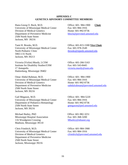#### **APPENDIX C GENETICS ADVISORY COMMITTEE MEMBERS**

Hans-Georg O. Bock, M.D. Office: 601- 984-1900 **Chair** University of Mississippi Medical Center Fax: 601-984-1916 Division of Medical Genetics Home: 601-992-0736 Department of Preventive Medicine hbock@prevmed.umsmed.edu 2500 North State Street Jackson, MS 39216

Tami H. Brooks, M.D. Office: 601-815-5300 **Vice Chair** University of Mississippi Medical Center Fax: 601-978-3549 North Pediatric Clinic tbrooks@njpeds.umsmed.edu 5965 I-55 North Jackson, MS 39213

Victoria (Vickie) Murdy, LCSW Office: 601-266-5163 Institute for Disability Studies/USM Fax: 601-543-8445 17 Annapolis victoria.murdy@usm.edu Hattiesburg, Mississippi 39402

Omar Abdul-Rahman, M.D. Office: 601- 984-1900 University of Mississippi Medical Center Fax: 601-984-1916 Division of Medical Genetics Home: 601-992-0736 Department of Preventive Medicine oabdulrahman@prevmed.umsmed.edu 2500 North State Street Jackson, MS 39216

Gail Megason, M.D. **Office: 601- 984-5220** University of Mississippi Medical Center Fax: 601-984-1916 Department of Pediatrics-Hematology Home: 601-992-0736 2500 North State Street gmegason@ped.umsmed.edu Jackson, MS 39216

Michael Bailey, PhD Office: 601-982-3251 Mississippi Hospital Association Fax: 601-368-3200 116 Woodgreen Crossing Mbailey@mhanet.org Madison, Mississippi 39110

Chris Friedrich, M.D. Office: 601-984-1900 University of Mississippi Medical Center Fax: 601-984-1916 Division of Medical Genetics cfriedrich@prevmed.umsmed.edu Department of Preventive Medicine 2500 North State Street Jackson, Mississippi 39216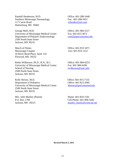Randall Henderson, M.D. Office: 601-288-3440 Southern Mississippi Neonatology Fax: 601-288-3451 117 Carrie Road erhender@aol.com Hattiesburg, MS 39402

George Moll, M.D. **Office: 601-984-5217** University of Mississippi Medical Center Fax: 601-815-3672 Department of Pediatric Endocrinology vred2@ped.umsmed.edu 2500 North State Street Jackson, MS 39216

March of Dimes Office: 601-933-1071 Mississippi Chapter Fax: 601-933-1152 10 River Bend Place, Suite 110 Flowood, MS, 39232

Robin Wilkerson, Ph.D., R.N., B.C. Office: 601-984-6253 University of Mississippi Medical Center Fax: 601-984-6206 School of Nursing rwilkerson@umc.edu 2500 North State Street Jackson, MS 39216

Kelly Hersey, M.D. Office: 601-815-7155 Department of Pediatrics Office: 601-815-2005 University of Mississippi Medical Center khersey@ped.umsmed.edu 2500 North State Street Jackson, MS 39216

Mrs. Julie Manley (Parent) Home: 601-824-1541

P.O. Box 1700 Cell Phone: 601-906-5442 Jackson, MS 39215 manley\_family@comcast.net

**Revised March 3, 2011**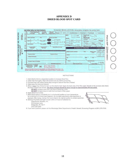#### **APPENDIX D DRIED BLOOD SPOT CARD**



- 1. Hold infant's limb in a dependent position to increase blood flow.
- 2. Clean heel thoroughly. Wipe with alcohol and dry before puncturing.
- 3. Puncture heel with sterile lancet deep enough to assure free flow of blood.
- 4. Wipe away first drop and discard.
- 5. Allow a large drop of blood to form on the infant's heel. Apply the back side of the filter paper directly to the puncture site where the drop of blood has formed. The drop of blood should be large enough to approximately fill one circle,
	- DO NOT: a) Apply more than one drop of blood per circle. DO NOT: b) Apply blood to both front and back of filter paper.
	-
- 6. Apply blood to all circles.
- 7. Allow blood spots to completely dry in a horizontal position at room temperature for a minimum of 4 hours (see diagram). Do not stack specimens while specimen is exposed. After drying, rewrap this cover sheet to its original position to protect specimen.
- 8. Send by Pre-Paid Overnight Courier within 24 hours of collection to: PerkinEimer Genetics, Inc.
	-
	- 90 Emerson Lane
	- Bridgeville, PA 15017
	- (412) 220-2300
- 9. If you have questions please call the Mississippi State Department of Health Genetic Screening Program at (601) 576-7619.